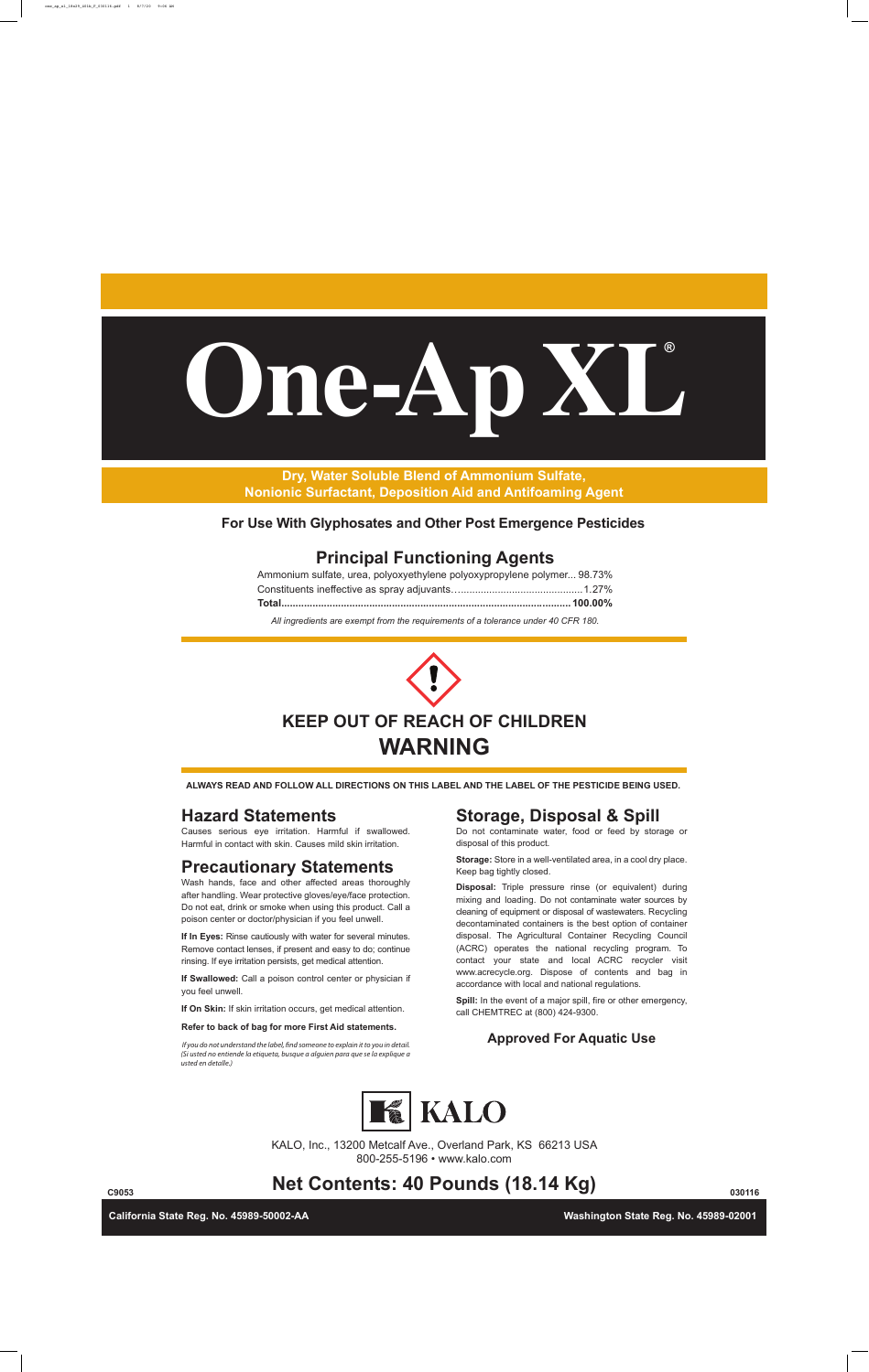# **KEEP OUT OF REACH OF CHILDREN WARNING**

# **Hazard Statements**

Causes serious eye irritation. Harmful if swallowed. Harmful in contact with skin. Causes mild skin irritation.

# **Precautionary Statements**

Wash hands, face and other affected areas thoroughly after handling. Wear protective gloves/eye/face protection. Do not eat, drink or smoke when using this product. Call a poison center or doctor/physician if you feel unwell.

**If In Eyes:** Rinse cautiously with water for several minutes. Remove contact lenses, if present and easy to do; continue rinsing. If eye irritation persists, get medical attention.

**If Swallowed:** Call a poison control center or physician if you feel unwell.

**If On Skin:** If skin irritation occurs, get medical attention.

**Refer to back of bag for more First Aid statements.**

800-255-5196 • www.kalo.com



# **Storage, Disposal & Spill**

Do not contaminate water, food or feed by storage or disposal of this product.

**Storage:** Store in a well-ventilated area, in a cool dry place. Keep bag tightly closed.

# **Net Contents: 40 Pounds (18.14 Kg) C9053 030116**

**Disposal:** Triple pressure rinse (or equivalent) during mixing and loading. Do not contaminate water sources by cleaning of equipment or disposal of wastewaters. Recycling decontaminated containers is the best option of container disposal. The Agricultural Container Recycling Council (ACRC) operates the national recycling program. To contact your state and local ACRC recycler visit www.acrecycle.org. Dispose of contents and bag in accordance with local and national regulations.

**Spill:** In the event of a major spill, fire or other emergency, call CHEMTREC at (800) 424-9300.

## If you do not understand the label, find someone to explain it to you in detail. **Approved For Aquatic Use**



**For Use With Glyphosates and Other Post Emergence Pesticides**

*(Si usted no entiende la etiqueta, busque a alguien para que se la explique a usted en detalle.)*

## **Principal Functioning Agents**

| Ammonium sulfate, urea, polyoxyethylene polyoxypropylene polymer 98.73% |  |
|-------------------------------------------------------------------------|--|

*All ingredients are exempt from the requirements of a tolerance under 40 CFR 180.*

**California State Reg. No. 45989-50002-AA Washington State Reg. No. 45989-02001** 

**Dry, Water Soluble Blend of Ammonium Sulfate, Nonionic Surfactant, Deposition Aid and Antifoaming Agent**

**ALWAYS READ AND FOLLOW ALL DIRECTIONS ON THIS LABEL AND THE LABEL OF THE PESTICIDE BEING USED.**